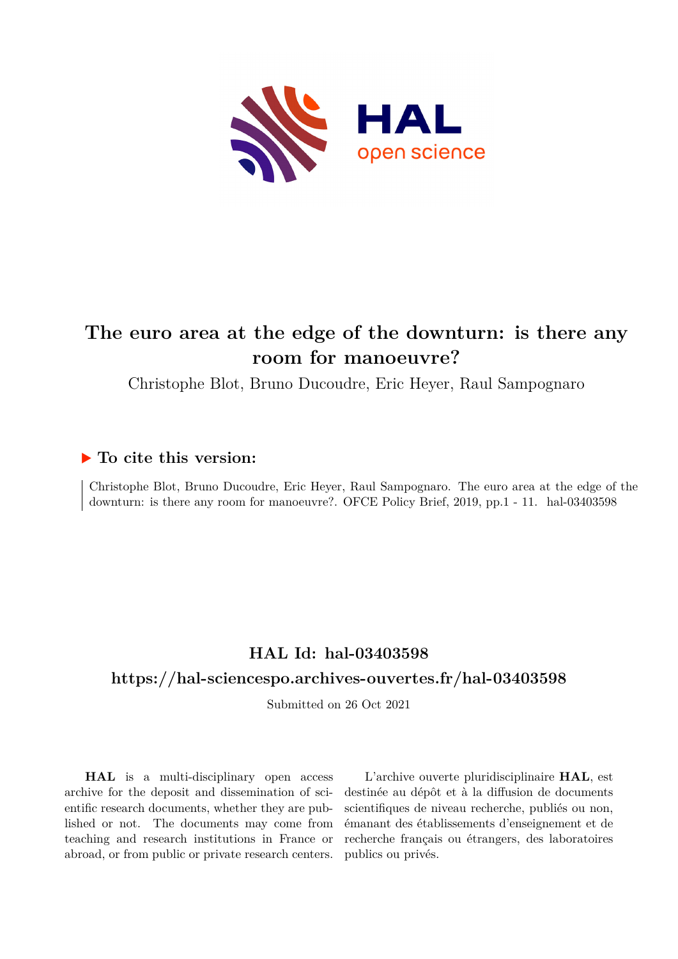

## **The euro area at the edge of the downturn: is there any room for manoeuvre?**

Christophe Blot, Bruno Ducoudre, Eric Heyer, Raul Sampognaro

## **To cite this version:**

Christophe Blot, Bruno Ducoudre, Eric Heyer, Raul Sampognaro. The euro area at the edge of the downturn: is there any room for manoeuvre?. OFCE Policy Brief, 2019, pp.1 - 11. hal-03403598

## **HAL Id: hal-03403598**

## **<https://hal-sciencespo.archives-ouvertes.fr/hal-03403598>**

Submitted on 26 Oct 2021

**HAL** is a multi-disciplinary open access archive for the deposit and dissemination of scientific research documents, whether they are published or not. The documents may come from teaching and research institutions in France or abroad, or from public or private research centers.

L'archive ouverte pluridisciplinaire **HAL**, est destinée au dépôt et à la diffusion de documents scientifiques de niveau recherche, publiés ou non, émanant des établissements d'enseignement et de recherche français ou étrangers, des laboratoires publics ou privés.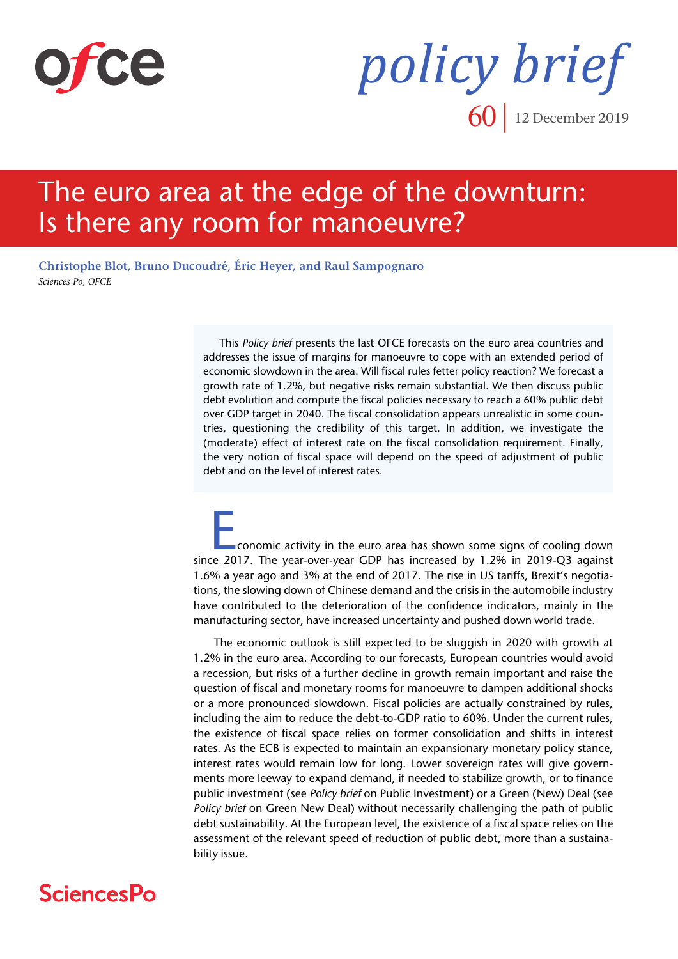

*policy brief* **60** 12 December 2019

# The euro area at the edge of the downturn: Is there any room for manoeuvre?

**[Christophe Blot,](https://www.ofce.sciences-po.fr/pages-chercheurs/page.php?id=5) [Bruno Ducoudré,](https://www.ofce.sciences-po.fr/pages-chercheurs/page.php?id=10) [Éric Heyer, and](https://www.ofce.sciences-po.fr/pages-chercheurs/page.php?id=15) [Raul Sampognaro](https://www.ofce.sciences-po.fr/pages-chercheurs/page.php?id=109)** *Sciences Po, OFCE*

> This *Policy brief* presents the last OFCE forecasts on the euro area countries and addresses the issue of margins for manoeuvre to cope with an extended period of economic slowdown in the area. Will fiscal rules fetter policy reaction? We forecast a growth rate of 1.2%, but negative risks remain substantial. We then discuss public debt evolution and compute the fiscal policies necessary to reach a 60% public debt over GDP target in 2040. The fiscal consolidation appears unrealistic in some countries, questioning the credibility of this target. In addition, we investigate the (moderate) effect of interest rate on the fiscal consolidation requirement. Finally, the very notion of fiscal space will depend on the speed of adjustment of public debt and on the level of interest rates.

Economic activity in the euro area has shown some signs of cooling down since 2017. The year-over-year GDP has increased by 1.2% in 2019-Q3 against 1.6% a year ago and 3% at the end of 2017. The rise in US tariffs, Brexit's negotiations, the slowing down of Chinese demand and the crisis in the automobile industry have contributed to the deterioration of the confidence indicators, mainly in the manufacturing sector, have increased uncertainty and pushed down world trade.

 The economic outlook is still expected to be sluggish in 2020 with growth at 1.2% in the euro area. According to our forecasts, European countries would avoid a recession, but risks of a further decline in growth remain important and raise the question of fiscal and monetary rooms for manoeuvre to dampen additional shocks or a more pronounced slowdown. Fiscal policies are actually constrained by rules, including the aim to reduce the debt-to-GDP ratio to 60%. Under the current rules, the existence of fiscal space relies on former consolidation and shifts in interest rates. As the ECB is expected to maintain an expansionary monetary policy stance, interest rates would remain low for long. Lower sovereign rates will give governments more leeway to expand demand, if needed to stabilize growth, or to finance public investment (see *Policy brief* on Public Investment) or a Green (New) Deal (see *Policy brief* on Green New Deal) without necessarily challenging the path of public debt sustainability. At the European level, the existence of a fiscal space relies on the assessment of the relevant speed of reduction of public debt, more than a sustainability issue.

## **SciencesPo**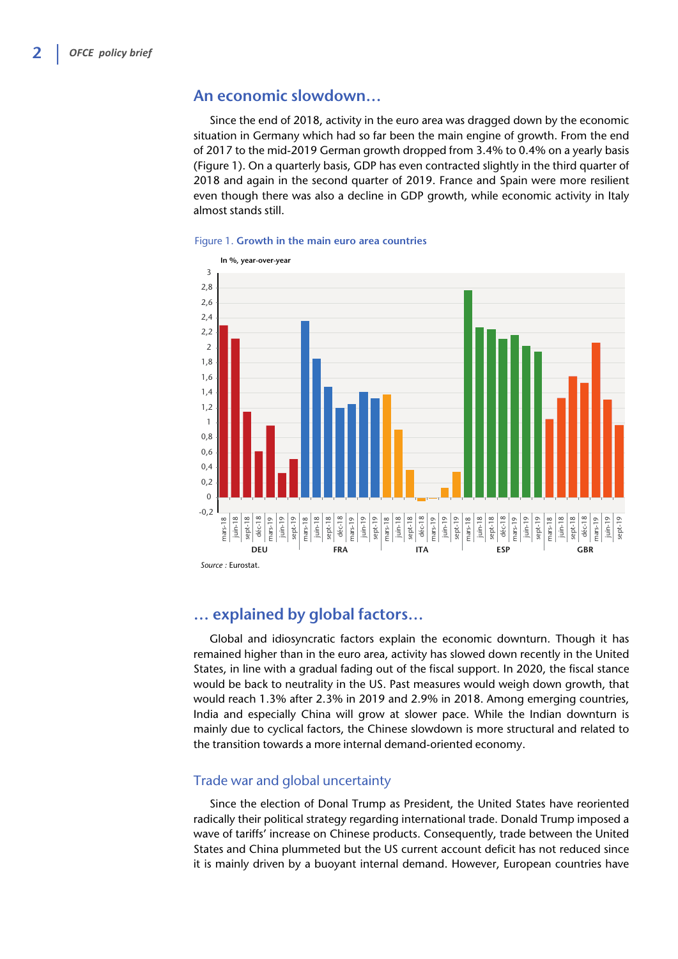### **An economic slowdown…**

Since the end of 2018, activity in the euro area was dragged down by the economic situation in Germany which had so far been the main engine of growth. From the end of 2017 to the mid-2019 German growth dropped from 3.4% to 0.4% on a yearly basis (Figure 1). On a quarterly basis, GDP has even contracted slightly in the third quarter of 2018 and again in the second quarter of 2019. France and Spain were more resilient even though there was also a decline in GDP growth, while economic activity in Italy almost stands still.



#### Figure 1. **Growth in the main euro area countries**

## **… explained by global factors…**

Global and idiosyncratic factors explain the economic downturn. Though it has remained higher than in the euro area, activity has slowed down recently in the United States, in line with a gradual fading out of the fiscal support. In 2020, the fiscal stance would be back to neutrality in the US. Past measures would weigh down growth, that would reach 1.3% after 2.3% in 2019 and 2.9% in 2018. Among emerging countries, India and especially China will grow at slower pace. While the Indian downturn is mainly due to cyclical factors, the Chinese slowdown is more structural and related to the transition towards a more internal demand-oriented economy.

### Trade war and global uncertainty

Since the election of Donal Trump as President, the United States have reoriented radically their political strategy regarding international trade. Donald Trump imposed a wave of tariffs' increase on Chinese products. Consequently, trade between the United States and China plummeted but the US current account deficit has not reduced since it is mainly driven by a buoyant internal demand. However, European countries have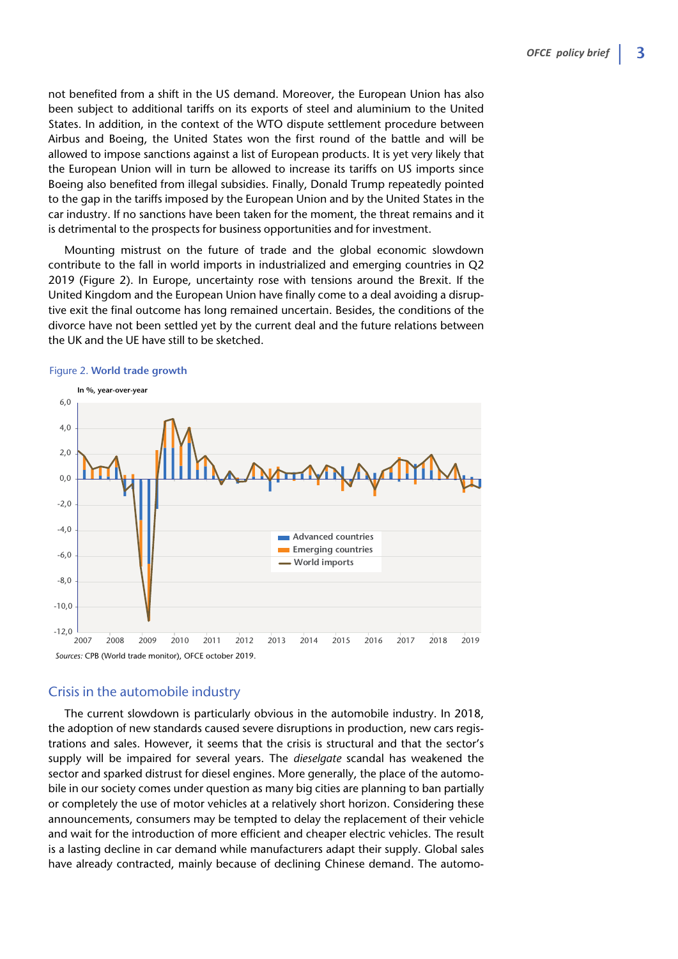not benefited from a shift in the US demand. Moreover, the European Union has also been subject to additional tariffs on its exports of steel and aluminium to the United States. In addition, in the context of the WTO dispute settlement procedure between Airbus and Boeing, the United States won the first round of the battle and will be allowed to impose sanctions against a list of European products. It is yet very likely that the European Union will in turn be allowed to increase its tariffs on US imports since Boeing also benefited from illegal subsidies. Finally, Donald Trump repeatedly pointed to the gap in the tariffs imposed by the European Union and by the United States in the car industry. If no sanctions have been taken for the moment, the threat remains and it is detrimental to the prospects for business opportunities and for investment.

Mounting mistrust on the future of trade and the global economic slowdown contribute to the fall in world imports in industrialized and emerging countries in Q2 2019 (Figure 2). In Europe, uncertainty rose with tensions around the Brexit. If the United Kingdom and the European Union have finally come to a deal avoiding a disruptive exit the final outcome has long remained uncertain. Besides, the conditions of the divorce have not been settled yet by the current deal and the future relations between the UK and the UE have still to be sketched.



#### Figure 2. **World trade growth**

#### Crisis in the automobile industry

The current slowdown is particularly obvious in the automobile industry. In 2018, the adoption of new standards caused severe disruptions in production, new cars registrations and sales. However, it seems that the crisis is structural and that the sector's supply will be impaired for several years. The *dieselgate* scandal has weakened the sector and sparked distrust for diesel engines. More generally, the place of the automobile in our society comes under question as many big cities are planning to ban partially or completely the use of motor vehicles at a relatively short horizon. Considering these announcements, consumers may be tempted to delay the replacement of their vehicle and wait for the introduction of more efficient and cheaper electric vehicles. The result is a lasting decline in car demand while manufacturers adapt their supply. Global sales have already contracted, mainly because of declining Chinese demand. The automo-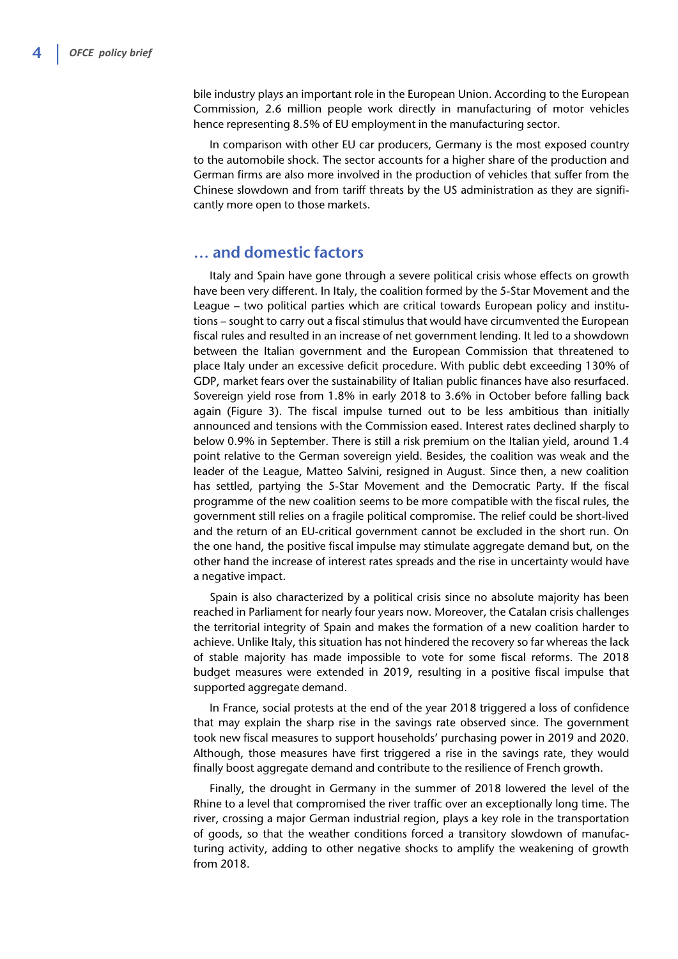bile industry plays an important role in the European Union. According to the European Commission, 2.6 million people work directly in manufacturing of motor vehicles hence representing 8.5% of EU employment in the manufacturing sector.

In comparison with other EU car producers, Germany is the most exposed country to the automobile shock. The sector accounts for a higher share of the production and German firms are also more involved in the production of vehicles that suffer from the Chinese slowdown and from tariff threats by the US administration as they are significantly more open to those markets.

## **… and domestic factors**

Italy and Spain have gone through a severe political crisis whose effects on growth have been very different. In Italy, the coalition formed by the 5-Star Movement and the League – two political parties which are critical towards European policy and institutions – sought to carry out a fiscal stimulus that would have circumvented the European fiscal rules and resulted in an increase of net government lending. It led to a showdown between the Italian government and the European Commission that threatened to place Italy under an excessive deficit procedure. With public debt exceeding 130% of GDP, market fears over the sustainability of Italian public finances have also resurfaced. Sovereign yield rose from 1.8% in early 2018 to 3.6% in October before falling back again (Figure 3). The fiscal impulse turned out to be less ambitious than initially announced and tensions with the Commission eased. Interest rates declined sharply to below 0.9% in September. There is still a risk premium on the Italian yield, around 1.4 point relative to the German sovereign yield. Besides, the coalition was weak and the leader of the League, Matteo Salvini, resigned in August. Since then, a new coalition has settled, partying the 5-Star Movement and the Democratic Party. If the fiscal programme of the new coalition seems to be more compatible with the fiscal rules, the government still relies on a fragile political compromise. The relief could be short-lived and the return of an EU-critical government cannot be excluded in the short run. On the one hand, the positive fiscal impulse may stimulate aggregate demand but, on the other hand the increase of interest rates spreads and the rise in uncertainty would have a negative impact.

Spain is also characterized by a political crisis since no absolute majority has been reached in Parliament for nearly four years now. Moreover, the Catalan crisis challenges the territorial integrity of Spain and makes the formation of a new coalition harder to achieve. Unlike Italy, this situation has not hindered the recovery so far whereas the lack of stable majority has made impossible to vote for some fiscal reforms. The 2018 budget measures were extended in 2019, resulting in a positive fiscal impulse that supported aggregate demand.

In France, social protests at the end of the year 2018 triggered a loss of confidence that may explain the sharp rise in the savings rate observed since. The government took new fiscal measures to support households' purchasing power in 2019 and 2020. Although, those measures have first triggered a rise in the savings rate, they would finally boost aggregate demand and contribute to the resilience of French growth.

Finally, the drought in Germany in the summer of 2018 lowered the level of the Rhine to a level that compromised the river traffic over an exceptionally long time. The river, crossing a major German industrial region, plays a key role in the transportation of goods, so that the weather conditions forced a transitory slowdown of manufacturing activity, adding to other negative shocks to amplify the weakening of growth from 2018.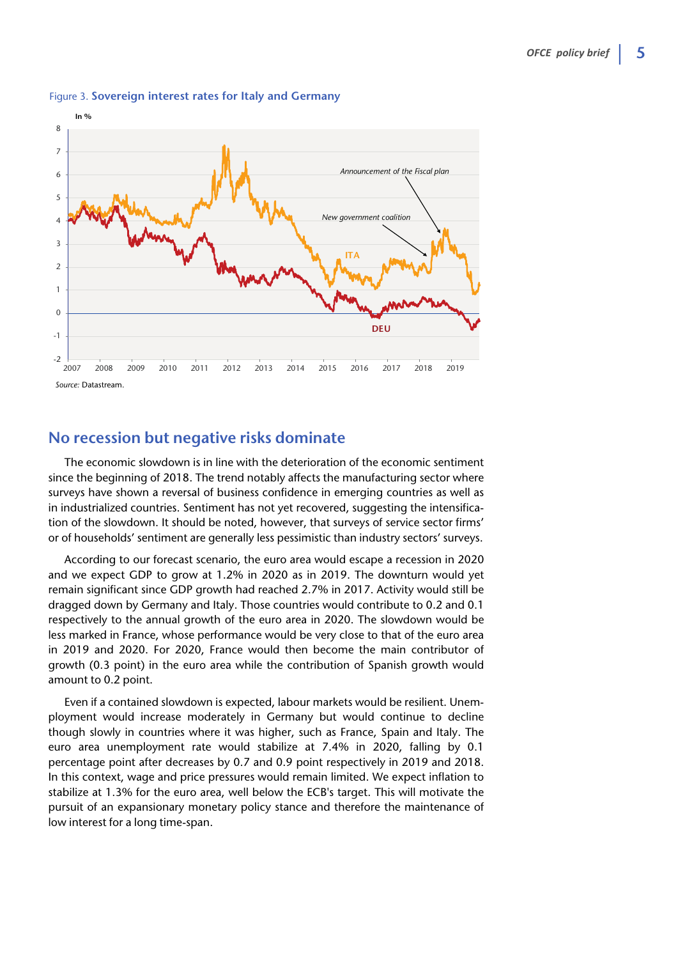

#### Figure 3. **Sovereign interest rates for Italy and Germany**

## **No recession but negative risks dominate**

The economic slowdown is in line with the deterioration of the economic sentiment since the beginning of 2018. The trend notably affects the manufacturing sector where surveys have shown a reversal of business confidence in emerging countries as well as in industrialized countries. Sentiment has not yet recovered, suggesting the intensification of the slowdown. It should be noted, however, that surveys of service sector firms' or of households' sentiment are generally less pessimistic than industry sectors' surveys.

According to our forecast scenario, the euro area would escape a recession in 2020 and we expect GDP to grow at 1.2% in 2020 as in 2019. The downturn would yet remain significant since GDP growth had reached 2.7% in 2017. Activity would still be dragged down by Germany and Italy. Those countries would contribute to 0.2 and 0.1 respectively to the annual growth of the euro area in 2020. The slowdown would be less marked in France, whose performance would be very close to that of the euro area in 2019 and 2020. For 2020, France would then become the main contributor of growth (0.3 point) in the euro area while the contribution of Spanish growth would amount to 0.2 point.

Even if a contained slowdown is expected, labour markets would be resilient. Unemployment would increase moderately in Germany but would continue to decline though slowly in countries where it was higher, such as France, Spain and Italy. The euro area unemployment rate would stabilize at 7.4% in 2020, falling by 0.1 percentage point after decreases by 0.7 and 0.9 point respectively in 2019 and 2018. In this context, wage and price pressures would remain limited. We expect inflation to stabilize at 1.3% for the euro area, well below the ECB's target. This will motivate the pursuit of an expansionary monetary policy stance and therefore the maintenance of low interest for a long time-span.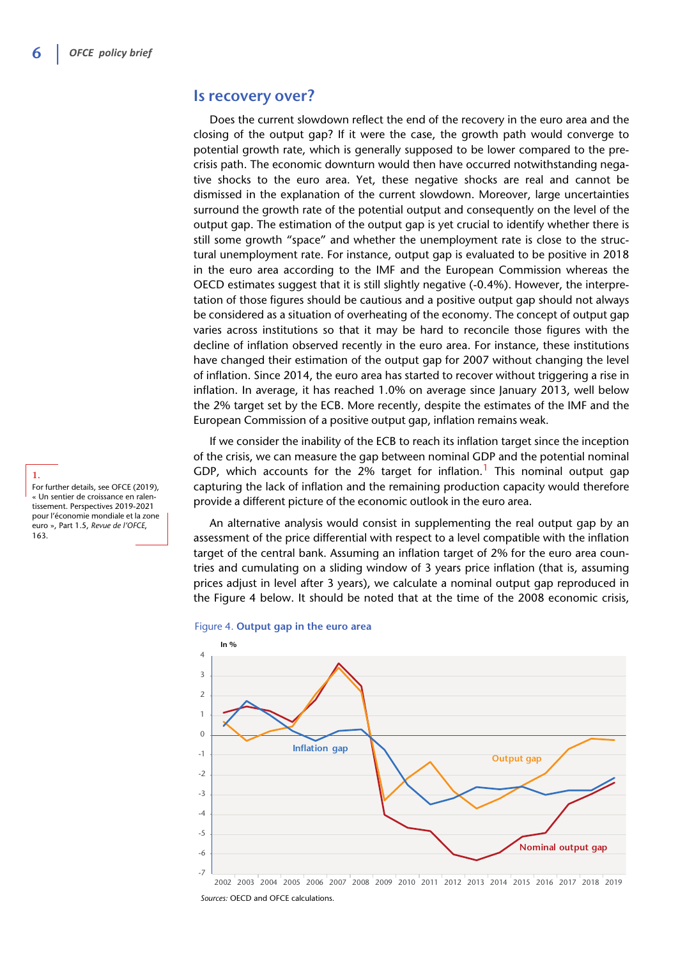#### **Is recovery over?**

Does the current slowdown reflect the end of the recovery in the euro area and the closing of the output gap? If it were the case, the growth path would converge to potential growth rate, which is generally supposed to be lower compared to the precrisis path. The economic downturn would then have occurred notwithstanding negative shocks to the euro area. Yet, these negative shocks are real and cannot be dismissed in the explanation of the current slowdown. Moreover, large uncertainties surround the growth rate of the potential output and consequently on the level of the output gap. The estimation of the output gap is yet crucial to identify whether there is still some growth "space" and whether the unemployment rate is close to the structural unemployment rate. For instance, output gap is evaluated to be positive in 2018 in the euro area according to the IMF and the European Commission whereas the OECD estimates suggest that it is still slightly negative (-0.4%). However, the interpretation of those figures should be cautious and a positive output gap should not always be considered as a situation of overheating of the economy. The concept of output gap varies across institutions so that it may be hard to reconcile those figures with the decline of inflation observed recently in the euro area. For instance, these institutions have changed their estimation of the output gap for 2007 without changing the level of inflation. Since 2014, the euro area has started to recover without triggering a rise in inflation. In average, it has reached 1.0% on average since January 2013, well below the 2% target set by the ECB. More recently, despite the estimates of the IMF and the European Commission of a positive output gap, inflation remains weak.

If we consider the inability of the ECB to reach its inflation target since the inception of the crisis, we can measure the gap between nominal GDP and the potential nominal GDP, which accounts for the 2% target for inflation.<sup>1</sup> This nominal output gap capturing the lack of inflation and the remaining production capacity would therefore provide a different picture of the economic outlook in the euro area.

An alternative analysis would consist in supplementing the real output gap by an assessment of the price differential with respect to a level compatible with the inflation target of the central bank. Assuming an inflation target of 2% for the euro area countries and cumulating on a sliding window of 3 years price inflation (that is, assuming prices adjust in level after 3 years), we calculate a nominal output gap reproduced in the Figure 4 below. It should be noted that at the time of the 2008 economic crisis,





For further details, see OFCE (2019), « Un sentier de croissance en ralentissement. Perspectives 2019-2021 pour l'économie mondiale et la zone euro », Part 1.5, *Revue de l'OFCE*, 163.

**1.**

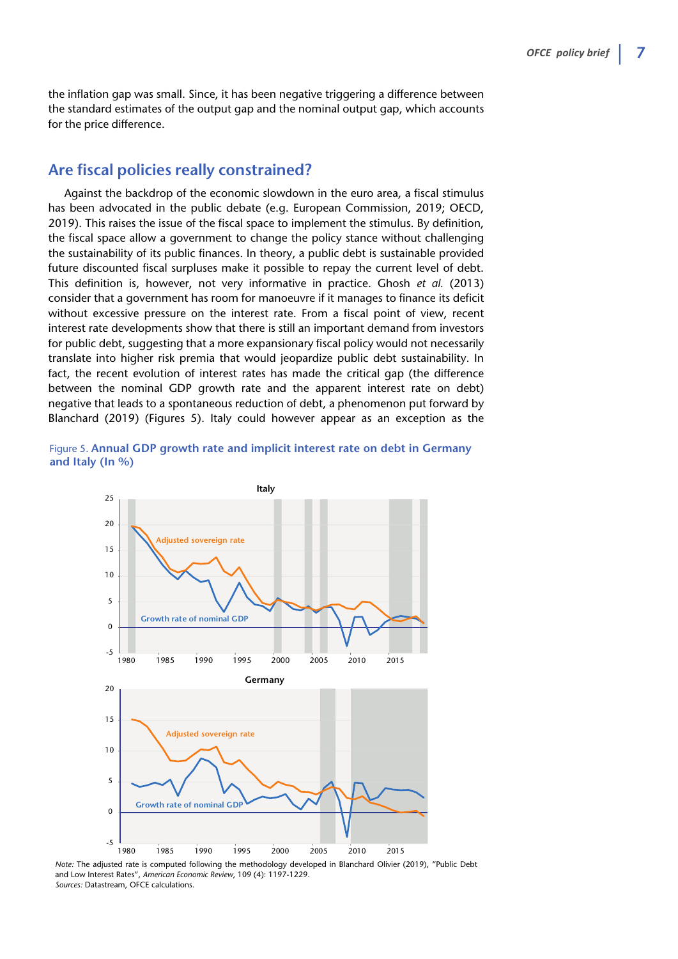the inflation gap was small. Since, it has been negative triggering a difference between the standard estimates of the output gap and the nominal output gap, which accounts for the price difference.

## **Are fiscal policies really constrained?**

Against the backdrop of the economic slowdown in the euro area, a fiscal stimulus has been advocated in the public debate (e.g. European Commission, 2019; OECD, 2019). This raises the issue of the fiscal space to implement the stimulus. By definition, the fiscal space allow a government to change the policy stance without challenging the sustainability of its public finances. In theory, a public debt is sustainable provided future discounted fiscal surpluses make it possible to repay the current level of debt. This definition is, however, not very informative in practice. Ghosh *et al.* (2013) consider that a government has room for manoeuvre if it manages to finance its deficit without excessive pressure on the interest rate. From a fiscal point of view, recent interest rate developments show that there is still an important demand from investors for public debt, suggesting that a more expansionary fiscal policy would not necessarily translate into higher risk premia that would jeopardize public debt sustainability. In fact, the recent evolution of interest rates has made the critical gap (the difference between the nominal GDP growth rate and the apparent interest rate on debt) negative that leads to a spontaneous reduction of debt, a phenomenon put forward by Blanchard (2019) (Figures 5). Italy could however appear as an exception as the





*Note:* The adjusted rate is computed following the methodology developed in Blanchard Olivier (2019), "Public Debt and Low Interest Rates", *American Economic Review*, 109 (4): 1197-1229. *Sources:* Datastream, OFCE calculations.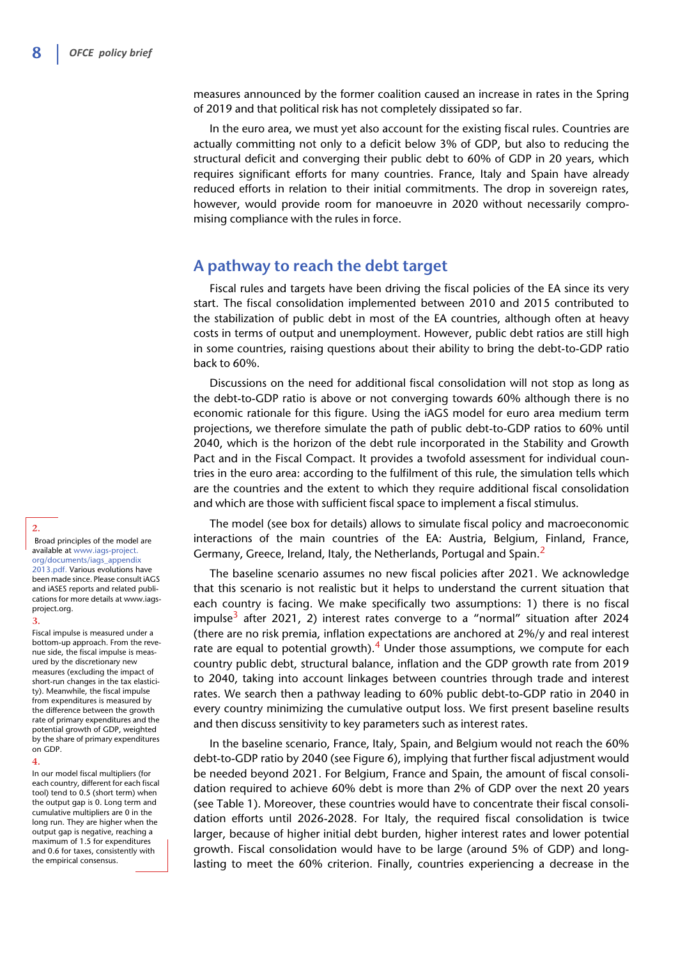measures announced by the former coalition caused an increase in rates in the Spring of 2019 and that political risk has not completely dissipated so far.

In the euro area, we must yet also account for the existing fiscal rules. Countries are actually committing not only to a deficit below 3% of GDP, but also to reducing the structural deficit and converging their public debt to 60% of GDP in 20 years, which requires significant efforts for many countries. France, Italy and Spain have already reduced efforts in relation to their initial commitments. The drop in sovereign rates, however, would provide room for manoeuvre in 2020 without necessarily compromising compliance with the rules in force.

#### **A pathway to reach the debt target**

Fiscal rules and targets have been driving the fiscal policies of the EA since its very start. The fiscal consolidation implemented between 2010 and 2015 contributed to the stabilization of public debt in most of the EA countries, although often at heavy costs in terms of output and unemployment. However, public debt ratios are still high in some countries, raising questions about their ability to bring the debt-to-GDP ratio back to 60%.

Discussions on the need for additional fiscal consolidation will not stop as long as the debt-to-GDP ratio is above or not converging towards 60% although there is no economic rationale for this figure. Using the iAGS model for euro area medium term projections, we therefore simulate the path of public debt-to-GDP ratios to 60% until 2040, which is the horizon of the debt rule incorporated in the Stability and Growth Pact and in the Fiscal Compact. It provides a twofold assessment for individual countries in the euro area: according to the fulfilment of this rule, the simulation tells which are the countries and the extent to which they require additional fiscal consolidation and which are those with sufficient fiscal space to implement a fiscal stimulus.

The model (see box for details) allows to simulate fiscal policy and macroeconomic interactions of the main countries of the EA: Austria, Belgium, Finland, France, Germany, Greece, Ireland, Italy, the Netherlands, Portugal and Spain.<sup>2</sup>

The baseline scenario assumes no new fiscal policies after 2021. We acknowledge that this scenario is not realistic but it helps to understand the current situation that each country is facing. We make specifically two assumptions: 1) there is no fiscal impulse<sup>3</sup> after 2021, 2) interest rates converge to a "normal" situation after 2024 (there are no risk premia, inflation expectations are anchored at 2%/y and real interest rate are equal to potential growth).<sup>4</sup> Under those assumptions, we compute for each country public debt, structural balance, inflation and the GDP growth rate from 2019 to 2040, taking into account linkages between countries through trade and interest rates. We search then a pathway leading to 60% public debt-to-GDP ratio in 2040 in every country minimizing the cumulative output loss. We first present baseline results and then discuss sensitivity to key parameters such as interest rates.

In the baseline scenario, France, Italy, Spain, and Belgium would not reach the 60% debt-to-GDP ratio by 2040 (see Figure 6), implying that further fiscal adjustment would be needed beyond 2021. For Belgium, France and Spain, the amount of fiscal consolidation required to achieve 60% debt is more than 2% of GDP over the next 20 years (see Table 1). Moreover, these countries would have to concentrate their fiscal consolidation efforts until 2026-2028. For Italy, the required fiscal consolidation is twice larger, because of higher initial debt burden, higher interest rates and lower potential growth. Fiscal consolidation would have to be large (around 5% of GDP) and longlasting to meet the 60% criterion. Finally, countries experiencing a decrease in the

**2.** Broad principles of the model are available at [www.iags-project.](http://www.iags-project.org/documents/iags_appendix2013.pdf)  [org/documents/iags\\_appendix](http://www.iags-project.org/documents/iags_appendix2013.pdf)  [2013.pdf.](http://www.iags-project.org/documents/iags_appendix2013.pdf) Various evolutions have been made since. Please consult iAGS and iASES reports and related publications for more details at www.iags-

project.org.

**3.** Fiscal impulse is measured under a bottom-up approach. From the revenue side, the fiscal impulse is measured by the discretionary new measures (excluding the impact of short-run changes in the tax elasticity). Meanwhile, the fiscal impulse from expenditures is measured by the difference between the growth rate of primary expenditures and the potential growth of GDP, weighted by the share of primary expenditures on GDP.

In our model fiscal multipliers (for each country, different for each fiscal tool) tend to 0.5 (short term) when the output gap is 0. Long term and cumulative multipliers are 0 in the long run. They are higher when the output gap is negative, reaching a

maximum of 1.5 for expenditures and 0.6 for taxes, consistently with the empirical consensus.

**4.**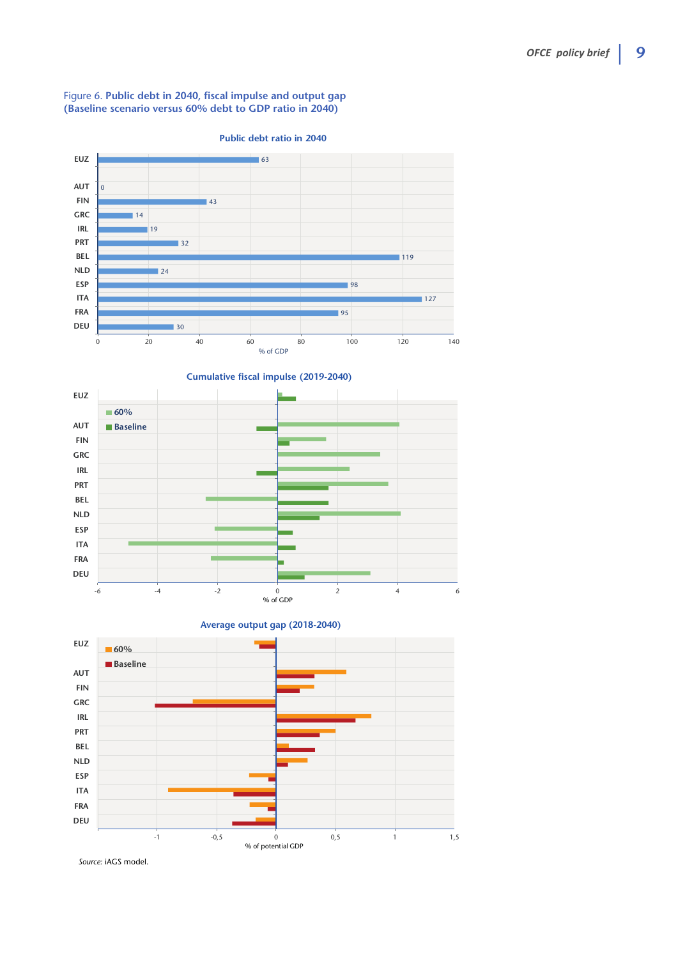#### Figure 6. **Public debt in 2040, fiscal impulse and output gap (Baseline scenario versus 60% debt to GDP ratio in 2040)**



**Public debt ratio in 2040**



**Average output gap (2018-2040)**



*Source:* iAGS model.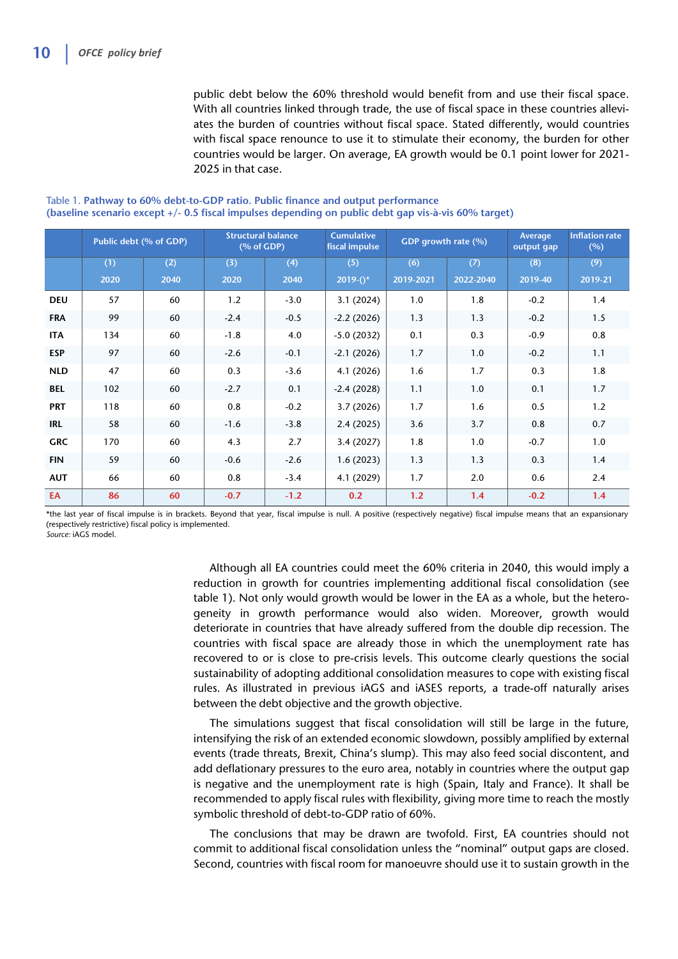public debt below the 60% threshold would benefit from and use their fiscal space. With all countries linked through trade, the use of fiscal space in these countries alleviates the burden of countries without fiscal space. Stated differently, would countries with fiscal space renounce to use it to stimulate their economy, the burden for other countries would be larger. On average, EA growth would be 0.1 point lower for 2021- 2025 in that case.

|            | Public debt (% of GDP) |      | <b>Structural balance</b><br>(% of GDP) |        | <b>Cumulative</b><br>fiscal impulse | GDP growth rate (%) |           | Average<br>output gap | <b>Inflation rate</b><br>(%) |
|------------|------------------------|------|-----------------------------------------|--------|-------------------------------------|---------------------|-----------|-----------------------|------------------------------|
|            | (1)                    | (2)  | (3)                                     | (4)    | (5)                                 | (6)                 | (7)       | (8)                   | (9)                          |
|            | 2020                   | 2040 | 2020                                    | 2040   | $2019-()$ *                         | 2019-2021           | 2022-2040 | 2019-40               | 2019-21                      |
| <b>DEU</b> | 57                     | 60   | 1.2                                     | $-3.0$ | 3.1(2024)                           | 1.0                 | 1.8       | $-0.2$                | 1.4                          |
| <b>FRA</b> | 99                     | 60   | $-2.4$                                  | $-0.5$ | $-2.2(2026)$                        | 1.3                 | 1.3       | $-0.2$                | 1.5                          |
| <b>ITA</b> | 134                    | 60   | $-1.8$                                  | 4.0    | $-5.0(2032)$                        | 0.1                 | 0.3       | $-0.9$                | 0.8                          |
| <b>ESP</b> | 97                     | 60   | $-2.6$                                  | $-0.1$ | $-2.1(2026)$                        | 1.7                 | 1.0       | $-0.2$                | 1.1                          |
| <b>NLD</b> | 47                     | 60   | 0.3                                     | $-3.6$ | 4.1(2026)                           | 1.6                 | 1.7       | 0.3                   | 1.8                          |
| <b>BEL</b> | 102                    | 60   | $-2.7$                                  | 0.1    | $-2.4(2028)$                        | 1.1                 | 1.0       | 0.1                   | 1.7                          |
| <b>PRT</b> | 118                    | 60   | 0.8                                     | $-0.2$ | 3.7(2026)                           | 1.7                 | 1.6       | 0.5                   | 1.2                          |
| IRL        | 58                     | 60   | $-1.6$                                  | $-3.8$ | 2.4(2025)                           | 3.6                 | 3.7       | 0.8                   | 0.7                          |
| <b>GRC</b> | 170                    | 60   | 4.3                                     | 2.7    | 3.4(2027)                           | 1.8                 | 1.0       | $-0.7$                | 1.0                          |
| <b>FIN</b> | 59                     | 60   | $-0.6$                                  | $-2.6$ | 1.6(2023)                           | 1.3                 | 1.3       | 0.3                   | 1.4                          |
| <b>AUT</b> | 66                     | 60   | 0.8                                     | $-3.4$ | 4.1 (2029)                          | 1.7                 | 2.0       | 0.6                   | 2.4                          |
| EA         | 86                     | 60   | $-0.7$                                  | $-1.2$ | 0.2                                 | 1.2                 | 1.4       | $-0.2$                | 1.4                          |

Table 1. **Pathway to 60% debt-to-GDP ratio. Public finance and output performance (baseline scenario except +/- 0.5 fiscal impulses depending on public debt gap vis-à-vis 60% target)**

\*the last year of fiscal impulse is in brackets. Beyond that year, fiscal impulse is null. A positive (respectively negative) fiscal impulse means that an expansionary (respectively restrictive) fiscal policy is implemented.

*Source:* iAGS model.

Although all EA countries could meet the 60% criteria in 2040, this would imply a reduction in growth for countries implementing additional fiscal consolidation (see table 1). Not only would growth would be lower in the EA as a whole, but the heterogeneity in growth performance would also widen. Moreover, growth would deteriorate in countries that have already suffered from the double dip recession. The countries with fiscal space are already those in which the unemployment rate has recovered to or is close to pre-crisis levels. This outcome clearly questions the social sustainability of adopting additional consolidation measures to cope with existing fiscal rules. As illustrated in previous iAGS and iASES reports, a trade-off naturally arises between the debt objective and the growth objective.

The simulations suggest that fiscal consolidation will still be large in the future, intensifying the risk of an extended economic slowdown, possibly amplified by external events (trade threats, Brexit, China's slump). This may also feed social discontent, and add deflationary pressures to the euro area, notably in countries where the output gap is negative and the unemployment rate is high (Spain, Italy and France). It shall be recommended to apply fiscal rules with flexibility, giving more time to reach the mostly symbolic threshold of debt-to-GDP ratio of 60%.

The conclusions that may be drawn are twofold. First, EA countries should not commit to additional fiscal consolidation unless the "nominal" output gaps are closed. Second, countries with fiscal room for manoeuvre should use it to sustain growth in the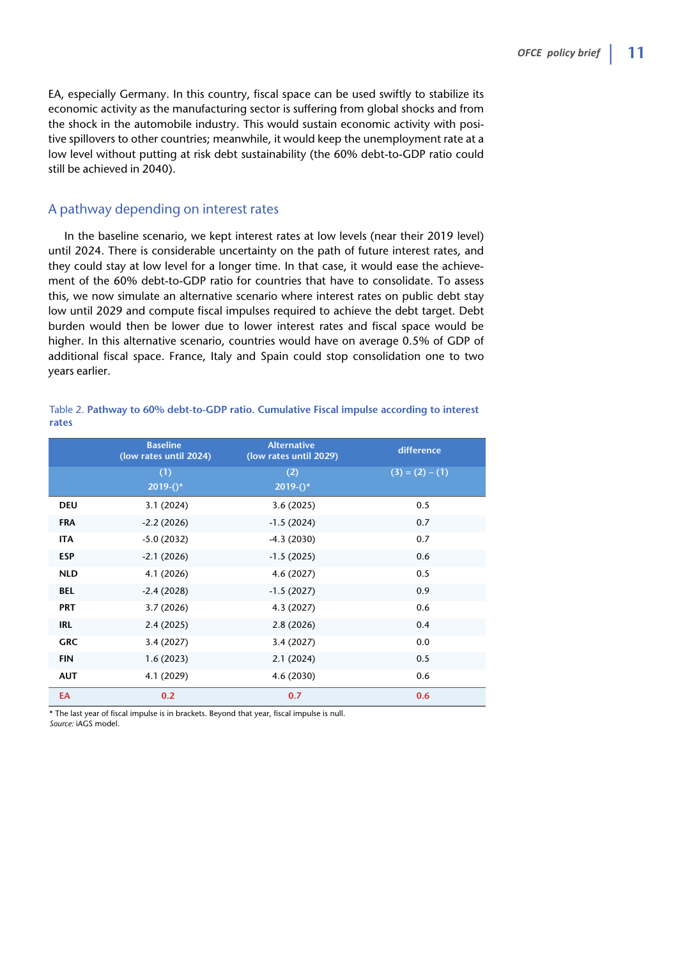EA, especially Germany. In this country, fiscal space can be used swiftly to stabilize its economic activity as the manufacturing sector is suffering from global shocks and from the shock in the automobile industry. This would sustain economic activity with positive spillovers to other countries; meanwhile, it would keep the unemployment rate at a low level without putting at risk debt sustainability (the 60% debt-to-GDP ratio could still be achieved in 2040).

#### A pathway depending on interest rates

In the baseline scenario, we kept interest rates at low levels (near their 2019 level) until 2024. There is considerable uncertainty on the path of future interest rates, and they could stay at low level for a longer time. In that case, it would ease the achievement of the 60% debt-to-GDP ratio for countries that have to consolidate. To assess this, we now simulate an alternative scenario where interest rates on public debt stay low until 2029 and compute fiscal impulses required to achieve the debt target. Debt burden would then be lower due to lower interest rates and fiscal space would be higher. In this alternative scenario, countries would have on average 0.5% of GDP of additional fiscal space. France, Italy and Spain could stop consolidation one to two years earlier.

|       | Table 2. Pathway to 60% debt-to-GDP ratio. Cumulative Fiscal impulse according to interest |
|-------|--------------------------------------------------------------------------------------------|
| rates |                                                                                            |

|            | <b>Baseline</b><br>(low rates until 2024) | <b>Alternative</b><br>(low rates until 2029) | difference        |
|------------|-------------------------------------------|----------------------------------------------|-------------------|
|            | (1)                                       | (2)                                          | $(3) = (2) - (1)$ |
|            | $2019-($ <sup>*</sup>                     | $2019-()$ *                                  |                   |
| <b>DEU</b> | 3.1(2024)                                 | 3.6(2025)                                    | 0.5               |
| <b>FRA</b> | $-2.2(2026)$                              | $-1.5(2024)$                                 | 0.7               |
| <b>ITA</b> | $-5.0(2032)$                              | $-4.3(2030)$                                 | 0.7               |
| <b>ESP</b> | $-2.1(2026)$                              | $-1.5(2025)$                                 | 0.6               |
| <b>NLD</b> | 4.1 (2026)                                | 4.6 (2027)                                   | 0.5               |
| <b>BEL</b> | $-2.4(2028)$                              | $-1.5(2027)$                                 | 0.9               |
| <b>PRT</b> | 3.7(2026)                                 | 4.3 (2027)                                   | 0.6               |
| <b>IRL</b> | 2.4(2025)                                 | 2.8(2026)                                    | 0.4               |
| <b>GRC</b> | 3.4(2027)                                 | 3.4(2027)                                    | 0.0               |
| <b>FIN</b> | 1.6(2023)                                 | 2.1(2024)                                    | 0.5               |
| <b>AUT</b> | 4.1 (2029)                                | 4.6 (2030)                                   | 0.6               |
| EA         | 0.2                                       | 0.7                                          | 0.6               |

\* The last year of fiscal impulse is in brackets. Beyond that year, fiscal impulse is null. *Source:* iAGS model.